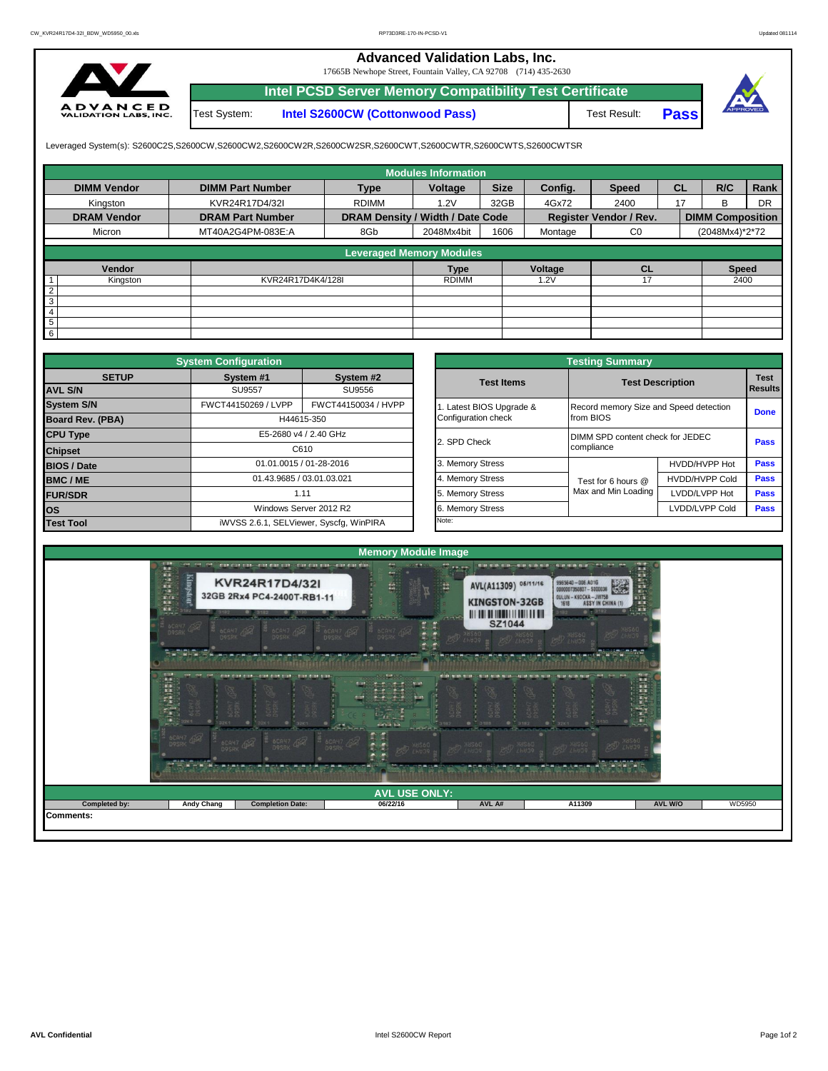## **Advanced Validation Labs, Inc.**

17665B Newhope Street, Fountain Valley, CA 92708 (714) 435-2630



Test System: **Intel S2600CW (Cottonwood Pass) Intel PCSD Server Memory Compatibility Test Certificate**

Test Result: **Pass**



Leveraged System(s): S2600C2S,S2600CW,S2600CW2,S2600CW2R,S2600CW2SR,S2600CWT,S2600CWTR,S2600CWTS,S2600CWTSR

|                    |                         |                                  | <b>Modules Information</b> |             |         |                               |           |                         |           |
|--------------------|-------------------------|----------------------------------|----------------------------|-------------|---------|-------------------------------|-----------|-------------------------|-----------|
| <b>DIMM Vendor</b> | <b>DIMM Part Number</b> | <b>Type</b>                      | Voltage                    | <b>Size</b> | Config. | <b>Speed</b>                  | <b>CL</b> | R/C                     | Rank      |
| Kingston           | KVR24R17D4/32I          | <b>RDIMM</b>                     | 1.2V                       | 32GB        | 4Gx72   | 2400                          | 17        | <sub>R</sub>            | <b>DR</b> |
| <b>DRAM Vendor</b> | <b>DRAM Part Number</b> | DRAM Density / Width / Date Code |                            |             |         | <b>Register Vendor / Rev.</b> |           | <b>DIMM Composition</b> |           |
| Micron             | MT40A2G4PM-083E:A       | 8Gb                              | 2048Mx4bit                 | 1606        | Montage | C <sub>0</sub>                |           | (2048Mx4)*2*72          |           |
|                    |                         |                                  |                            |             |         |                               |           |                         |           |
|                    |                         | <b>Leveraged Memory Modules</b>  |                            |             |         |                               |           |                         |           |
| Vendor             |                         |                                  | <b>Type</b>                |             | Voltage | <b>CL</b>                     |           | <b>Speed</b>            |           |
| Kingston           | KVR24R17D4K4/128I       |                                  | <b>RDIMM</b>               |             | .2V     |                               |           | 2400                    |           |
| $\overline{2}$     |                         |                                  |                            |             |         |                               |           |                         |           |
| 3                  |                         |                                  |                            |             |         |                               |           |                         |           |
| $\overline{4}$     |                         |                                  |                            |             |         |                               |           |                         |           |
| 5                  |                         |                                  |                            |             |         |                               |           |                         |           |
| 6                  |                         |                                  |                            |             |         |                               |           |                         |           |

|                         | <b>System Configuration</b> |                                         |                       | <b>Testing Summary</b>                 |                         |             |  |
|-------------------------|-----------------------------|-----------------------------------------|-----------------------|----------------------------------------|-------------------------|-------------|--|
| <b>SETUP</b>            | System #1                   | System #2                               | <b>Test Items</b>     |                                        | <b>Test Description</b> | <b>Test</b> |  |
| <b>AVL S/N</b>          | <b>SU9557</b>               | SU9556                                  |                       |                                        |                         | Results     |  |
| <b>System S/N</b>       | FWCT44150269 / LVPP         | FWCT44150034 / HVPP                     | Latest BIOS Upgrade & | Record memory Size and Speed detection |                         | <b>Done</b> |  |
| <b>Board Rev. (PBA)</b> |                             | H44615-350                              | Configuration check   | from BIOS                              |                         |             |  |
| <b>CPU Type</b>         |                             | E5-2680 v4 / 2.40 GHz                   | 2. SPD Check          | DIMM SPD content check for JEDEC       |                         | <b>Pass</b> |  |
| <b>Chipset</b>          |                             | C610                                    |                       | compliance                             |                         |             |  |
| <b>BIOS / Date</b>      |                             | 01.01.0015 / 01-28-2016                 | 3. Memory Stress      |                                        | HVDD/HVPP Hot           | <b>Pass</b> |  |
| <b>BMC/ME</b>           | 01.43.9685 / 03.01.03.021   |                                         | 4. Memory Stress      | Test for 6 hours @                     | <b>HVDD/HVPP Cold</b>   | <b>Pass</b> |  |
| <b>FUR/SDR</b>          |                             | 1.11                                    | 5. Memory Stress      | Max and Min Loading                    | LVDD/LVPP Hot           | <b>Pass</b> |  |
| <b>los</b>              |                             | Windows Server 2012 R2                  | 6. Memory Stress      |                                        | LVDD/LVPP Cold          | <b>Pass</b> |  |
| <b>Test Tool</b>        |                             | iWVSS 2.6.1, SELViewer, Syscfq, WinPIRA | Note:                 |                                        |                         |             |  |

|              | <b>System Configuration</b> |                                         |                       | <b>Testing Summary</b>           |                                        |                               |  |  |
|--------------|-----------------------------|-----------------------------------------|-----------------------|----------------------------------|----------------------------------------|-------------------------------|--|--|
| <b>SETUP</b> | System #1                   | System #2                               | <b>Test Items</b>     | <b>Test Description</b>          |                                        | <b>Test</b><br><b>Results</b> |  |  |
|              | <b>SU9557</b><br>SU9556     |                                         |                       |                                  |                                        |                               |  |  |
|              | FWCT44150269 / LVPP         | FWCT44150034 / HVPP                     | Latest BIOS Upgrade & |                                  | Record memory Size and Speed detection |                               |  |  |
| PBA)         |                             | H44615-350                              | Configuration check   | from BIOS                        |                                        | <b>Done</b>                   |  |  |
|              |                             | E5-2680 v4 / 2.40 GHz                   | 2. SPD Check          | DIMM SPD content check for JEDEC |                                        |                               |  |  |
|              |                             | C610                                    |                       | compliance                       |                                        | <b>Pass</b>                   |  |  |
|              |                             | 01.01.0015 / 01-28-2016                 | 3. Memory Stress      |                                  | HVDD/HVPP Hot                          | Pass                          |  |  |
|              | 01.43.9685 / 03.01.03.021   |                                         | 4. Memory Stress      | Test for 6 hours @               | <b>HVDD/HVPP Cold</b>                  | Pass                          |  |  |
|              |                             | 1.11                                    | 5. Memory Stress      | Max and Min Loading              | LVDD/LVPP Hot                          | Pass                          |  |  |
|              |                             | Windows Server 2012 R2                  | 6. Memory Stress      |                                  | LVDD/LVPP Cold                         | Pass                          |  |  |
|              |                             | iWVSS 2.6.1, SELViewer, Syscfq, WinPIRA | Note:                 |                                  |                                        |                               |  |  |

| <b>BCAM7 409</b><br><b>BCAH7 452</b><br><b>DOSRK</b><br><b>SALES COMPANY AND STATE</b><br>THE CONTRACTOR FOR DOING TO A DOUBLE<br><b>THE REAL</b><br>I<br>CAH7<br>QSRK<br>6CAH<br>32K1<br>$-32K1$<br>$\bullet$<br>32K1<br>$\bullet$<br>THE RECONSTRUCTION OF PERSONAL PROPERTY.<br><b>6CAY7 452</b><br><b>BCAY7 452</b><br><b>BCANT 452</b> | particular in the concentration in the set of<br><b>6CAH7</b> 4<br><b>BCAH7 459</b><br>けん酸化 小酸 防止<br><b>BE THE PROBE ON BE ON</b><br>Т.<br>$\frac{1}{2}$<br>easily his.<br>the fact that they had you are<br><b>BCAH7</b><br>$250$ $18560$ | <b>CALLER</b><br><b>SZ1044</b><br><b>BOD</b> XHS60<br>$L = 39$ $R$<br>child point to call the trial to an including to the child book book.<br>CAH<br><b>POD XNS60</b><br><b>BOD</b> XHS60 NHS60 | <b>CONTRACTOR</b><br><b>PSD</b> XHS60<br><b>MARINE DE LA CA</b><br><b>CONFIDENTIAL CONTINUES</b><br><b>ELECTRICAL</b><br>0.732k1<br><b>PSD</b> XHS60 | <b>ATTENT</b> |  |
|---------------------------------------------------------------------------------------------------------------------------------------------------------------------------------------------------------------------------------------------------------------------------------------------------------------------------------------------|--------------------------------------------------------------------------------------------------------------------------------------------------------------------------------------------------------------------------------------------|--------------------------------------------------------------------------------------------------------------------------------------------------------------------------------------------------|------------------------------------------------------------------------------------------------------------------------------------------------------|---------------|--|
|                                                                                                                                                                                                                                                                                                                                             |                                                                                                                                                                                                                                            |                                                                                                                                                                                                  |                                                                                                                                                      |               |  |